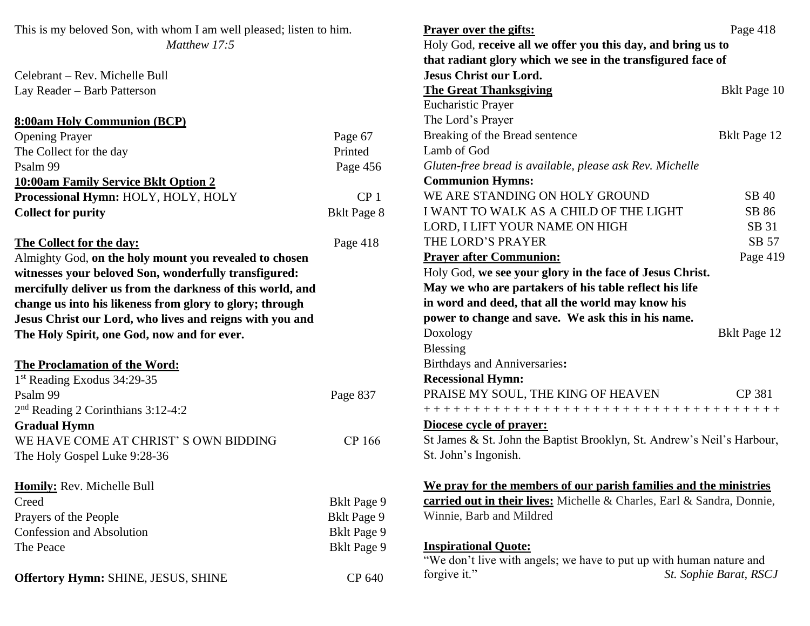| This is my beloved Son, with whom I am well pleased; listen to him.<br>Matthew 17:5 |                    | Page 418<br><b>Prayer over the gifts:</b><br>Holy God, receive all we offer you this day, and bring us to<br>that radiant glory which we see in the transfigured face of |                        |
|-------------------------------------------------------------------------------------|--------------------|--------------------------------------------------------------------------------------------------------------------------------------------------------------------------|------------------------|
| Celebrant – Rev. Michelle Bull                                                      |                    | <b>Jesus Christ our Lord.</b>                                                                                                                                            |                        |
| Lay Reader - Barb Patterson                                                         |                    | <b>The Great Thanksgiving</b>                                                                                                                                            | <b>Bklt Page 10</b>    |
|                                                                                     |                    | <b>Eucharistic Prayer</b>                                                                                                                                                |                        |
| <b>8:00am Holy Communion (BCP)</b>                                                  |                    | The Lord's Prayer                                                                                                                                                        |                        |
| <b>Opening Prayer</b>                                                               | Page 67            | Breaking of the Bread sentence                                                                                                                                           | <b>Bklt Page 12</b>    |
| The Collect for the day                                                             | Printed            | Lamb of God                                                                                                                                                              |                        |
| Psalm 99                                                                            | Page 456           | Gluten-free bread is available, please ask Rev. Michelle                                                                                                                 |                        |
| <b>10:00am Family Service Bklt Option 2</b>                                         |                    | <b>Communion Hymns:</b>                                                                                                                                                  |                        |
| Processional Hymn: HOLY, HOLY, HOLY                                                 | CP <sub>1</sub>    | WE ARE STANDING ON HOLY GROUND                                                                                                                                           | SB 40                  |
| <b>Collect for purity</b>                                                           | <b>Bklt Page 8</b> | I WANT TO WALK AS A CHILD OF THE LIGHT                                                                                                                                   | SB 86                  |
|                                                                                     |                    | LORD, I LIFT YOUR NAME ON HIGH                                                                                                                                           | SB 31                  |
| The Collect for the day:                                                            | Page 418           | THE LORD'S PRAYER                                                                                                                                                        | SB 57                  |
| Almighty God, on the holy mount you revealed to chosen                              |                    | <b>Prayer after Communion:</b>                                                                                                                                           | Page 419               |
| witnesses your beloved Son, wonderfully transfigured:                               |                    | Holy God, we see your glory in the face of Jesus Christ.                                                                                                                 |                        |
| mercifully deliver us from the darkness of this world, and                          |                    | May we who are partakers of his table reflect his life                                                                                                                   |                        |
| change us into his likeness from glory to glory; through                            |                    | in word and deed, that all the world may know his                                                                                                                        |                        |
| Jesus Christ our Lord, who lives and reigns with you and                            |                    | power to change and save. We ask this in his name.                                                                                                                       |                        |
| The Holy Spirit, one God, now and for ever.                                         |                    | Doxology                                                                                                                                                                 | Bklt Page 12           |
|                                                                                     |                    | <b>Blessing</b>                                                                                                                                                          |                        |
| The Proclamation of the Word:                                                       |                    | <b>Birthdays and Anniversaries:</b>                                                                                                                                      |                        |
| 1 <sup>st</sup> Reading Exodus 34:29-35                                             |                    | <b>Recessional Hymn:</b>                                                                                                                                                 |                        |
| Psalm 99                                                                            | Page 837           | PRAISE MY SOUL, THE KING OF HEAVEN                                                                                                                                       | CP 381                 |
| $2nd$ Reading 2 Corinthians 3:12-4:2                                                |                    | +++++++++++++++++++++++++++++++++++++                                                                                                                                    |                        |
| <b>Gradual Hymn</b>                                                                 |                    | Diocese cycle of prayer:                                                                                                                                                 |                        |
| WE HAVE COME AT CHRIST'S OWN BIDDING                                                | CP 166             | St James & St. John the Baptist Brooklyn, St. Andrew's Neil's Harbour,                                                                                                   |                        |
| The Holy Gospel Luke 9:28-36                                                        |                    | St. John's Ingonish.                                                                                                                                                     |                        |
| <b>Homily:</b> Rev. Michelle Bull                                                   |                    | We pray for the members of our parish families and the ministries                                                                                                        |                        |
| Creed                                                                               | <b>Bklt Page 9</b> | carried out in their lives: Michelle & Charles, Earl & Sandra, Donnie,                                                                                                   |                        |
| Prayers of the People                                                               | <b>Bklt Page 9</b> | Winnie, Barb and Mildred                                                                                                                                                 |                        |
| <b>Confession and Absolution</b>                                                    | <b>Bklt Page 9</b> |                                                                                                                                                                          |                        |
| The Peace                                                                           | <b>Bklt Page 9</b> | <b>Inspirational Quote:</b><br>"We don't live with angels; we have to put up with human nature and                                                                       |                        |
| Offertory Hymn: SHINE, JESUS, SHINE                                                 | CP 640             | forgive it."                                                                                                                                                             | St. Sophie Barat, RSCJ |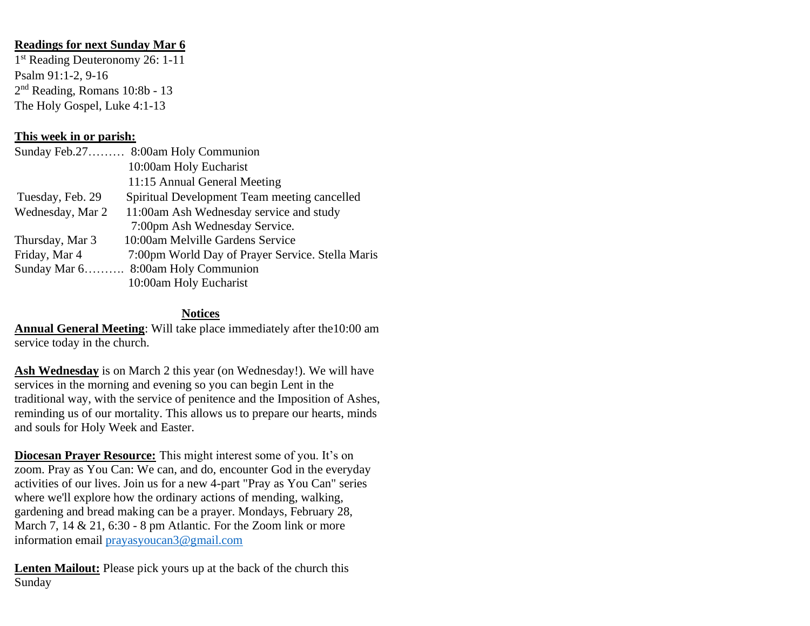## **Readings for next Sunday Mar 6**

1 st Reading Deuteronomy 26: 1-11 Psalm 91:1-2, 9-16 2<sup>nd</sup> Reading, Romans 10:8b - 13 The Holy Gospel, Luke 4:1-13

## **This week in or parish:**

|                  | Sunday Feb.27 8:00am Holy Communion              |
|------------------|--------------------------------------------------|
|                  | 10:00am Holy Eucharist                           |
|                  | 11:15 Annual General Meeting                     |
| Tuesday, Feb. 29 | Spiritual Development Team meeting cancelled     |
| Wednesday, Mar 2 | 11:00am Ash Wednesday service and study          |
|                  | 7:00pm Ash Wednesday Service.                    |
| Thursday, Mar 3  | 10:00am Melville Gardens Service                 |
| Friday, Mar 4    | 7:00pm World Day of Prayer Service. Stella Maris |
|                  | Sunday Mar 6 8:00am Holy Communion               |
|                  | 10:00am Holy Eucharist                           |

## **Notices**

**Annual General Meeting**: Will take place immediately after the10:00 am service today in the church.

**Ash Wednesday** is on March 2 this year (on Wednesday!). We will have services in the morning and evening so you can begin Lent in the traditional way, with the service of penitence and the Imposition of Ashes, reminding us of our mortality. This allows us to prepare our hearts, minds and souls for Holy Week and Easter.

**Diocesan Prayer Resource:** This might interest some of you. It's on zoom. Pray as You Can: We can, and do, encounter God in the everyday activities of our lives. Join us for a new 4-part "Pray as You Can" series where we'll explore how the ordinary actions of mending, walking, gardening and bread making can be a prayer. Mondays, February 28, March 7, 14 & 21, 6:30 - 8 pm Atlantic. For the Zoom link or more information email [prayasyoucan3@gmail.com](mailto:prayasyoucan3@gmail.com)

**Lenten Mailout:** Please pick yours up at the back of the church this Sunday